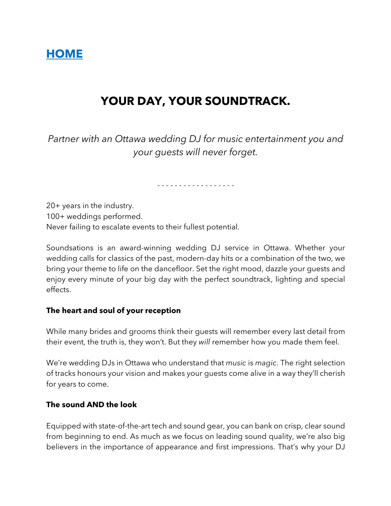# **HOME**

# **YOUR DAY, YOUR SOUNDTRACK.**

*Partner with an Ottawa wedding DJ for music entertainment you and your guests will never forget.*

- - - - - - - - - - - - - - - - - -

20+ years in the industry. 100+ weddings performed. Never failing to escalate events to their fullest potential.

Soundsations is an award-winning wedding DJ service in Ottawa. Whether your wedding calls for classics of the past, modern-day hits or a combination of the two, we bring your theme to life on the dancefloor. Set the right mood, dazzle your guests and enjoy every minute of your big day with the perfect soundtrack, lighting and special effects.

#### **The heart and soul of your reception**

While many brides and grooms think their guests will remember every last detail from their event, the truth is, they won't. But they *will* remember how you made them feel.

We're wedding DJs in Ottawa who understand that *music* is *magic*. The right selection of tracks honours your vision and makes your guests come alive in a way they'll cherish for years to come.

## **The sound AND the look**

Equipped with state-of-the-art tech and sound gear, you can bank on crisp, clear sound from beginning to end. As much as we focus on leading sound quality, we're also big believers in the importance of appearance and first impressions. That's why your DJ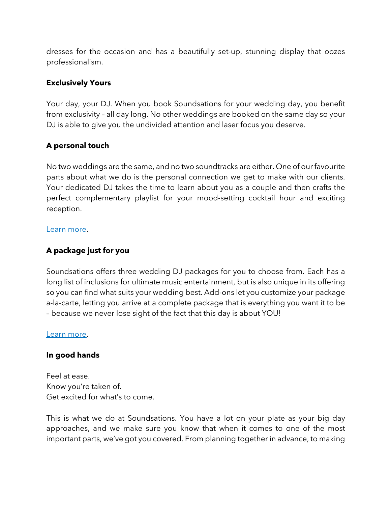dresses for the occasion and has a beautifully set-up, stunning display that oozes professionalism.

### **Exclusively Yours**

Your day, your DJ. When you book Soundsations for your wedding day, you benefit from exclusivity – all day long. No other weddings are booked on the same day so your DJ is able to give you the undivided attention and laser focus you deserve.

# **A personal touch**

No two weddings are the same, and no two soundtracks are either. One of our favourite parts about what we do is the personal connection we get to make with our clients. Your dedicated DJ takes the time to learn about you as a couple and then crafts the perfect complementary playlist for your mood-setting cocktail hour and exciting reception.

#### Learn more.

# **A package just for you**

Soundsations offers three wedding DJ packages for you to choose from. Each has a long list of inclusions for ultimate music entertainment, but is also unique in its offering so you can find what suits your wedding best. Add-ons let you customize your package a-la-carte, letting you arrive at a complete package that is everything you want it to be – because we never lose sight of the fact that this day is about YOU!

#### Learn more.

#### **In good hands**

Feel at ease. Know you're taken of. Get excited for what's to come.

This is what we do at Soundsations. You have a lot on your plate as your big day approaches, and we make sure you know that when it comes to one of the most important parts, we've got you covered. From planning together in advance, to making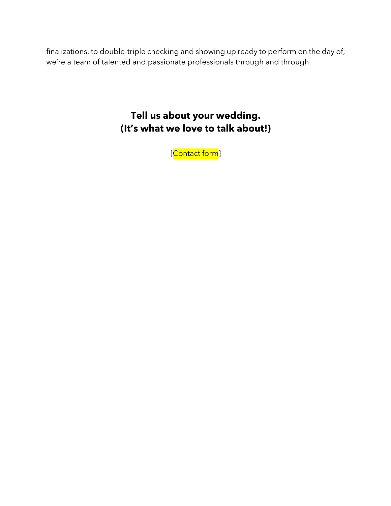finalizations, to double-triple checking and showing up ready to perform on the day of, we're a team of talented and passionate professionals through and through.

# **Tell us about your wedding. (It's what we love to talk about!)**

[Contact form]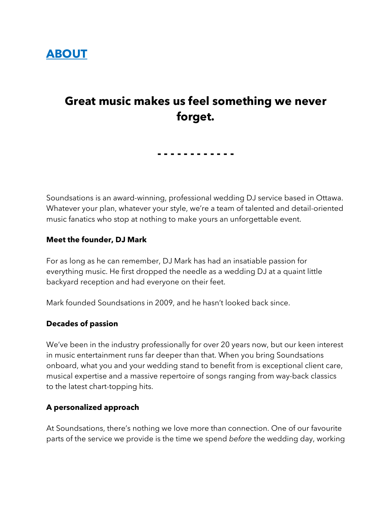

# **Great music makes us feel something we never forget.**

**- - - - - - - - - - - -**

Soundsations is an award-winning, professional wedding DJ service based in Ottawa. Whatever your plan, whatever your style, we're a team of talented and detail-oriented music fanatics who stop at nothing to make yours an unforgettable event.

#### **Meet the founder, DJ Mark**

For as long as he can remember, DJ Mark has had an insatiable passion for everything music. He first dropped the needle as a wedding DJ at a quaint little backyard reception and had everyone on their feet.

Mark founded Soundsations in 2009, and he hasn't looked back since.

#### **Decades of passion**

We've been in the industry professionally for over 20 years now, but our keen interest in music entertainment runs far deeper than that. When you bring Soundsations onboard, what you and your wedding stand to benefit from is exceptional client care, musical expertise and a massive repertoire of songs ranging from way-back classics to the latest chart-topping hits.

#### **A personalized approach**

At Soundsations, there's nothing we love more than connection. One of our favourite parts of the service we provide is the time we spend *before* the wedding day, working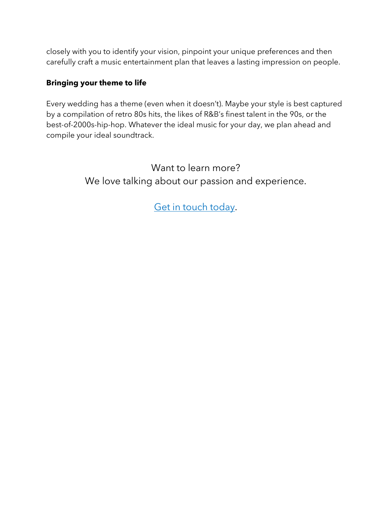closely with you to identify your vision, pinpoint your unique preferences and then carefully craft a music entertainment plan that leaves a lasting impression on people.

# **Bringing your theme to life**

Every wedding has a theme (even when it doesn't). Maybe your style is best captured by a compilation of retro 80s hits, the likes of R&B's finest talent in the 90s, or the best-of-2000s-hip-hop. Whatever the ideal music for your day, we plan ahead and compile your ideal soundtrack.

> Want to learn more? We love talking about our passion and experience.

> > Get in touch today.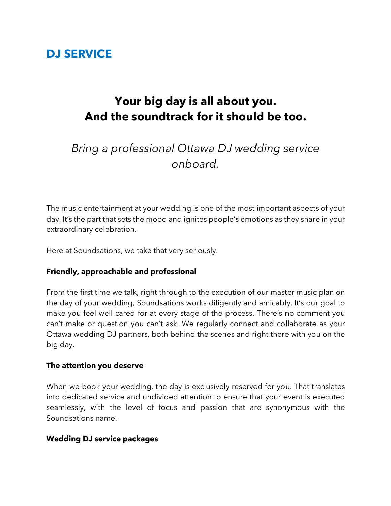# **DJ SERVICE**

# **Your big day is all about you. And the soundtrack for it should be too.**

# *Bring a professional Ottawa DJ wedding service onboard.*

The music entertainment at your wedding is one of the most important aspects of your day. It's the part that sets the mood and ignites people's emotions as they share in your extraordinary celebration.

Here at Soundsations, we take that very seriously.

# **Friendly, approachable and professional**

From the first time we talk, right through to the execution of our master music plan on the day of your wedding, Soundsations works diligently and amicably. It's our goal to make you feel well cared for at every stage of the process. There's no comment you can't make or question you can't ask. We regularly connect and collaborate as your Ottawa wedding DJ partners, both behind the scenes and right there with you on the big day.

#### **The attention you deserve**

When we book your wedding, the day is exclusively reserved for you. That translates into dedicated service and undivided attention to ensure that your event is executed seamlessly, with the level of focus and passion that are synonymous with the Soundsations name.

#### **Wedding DJ service packages**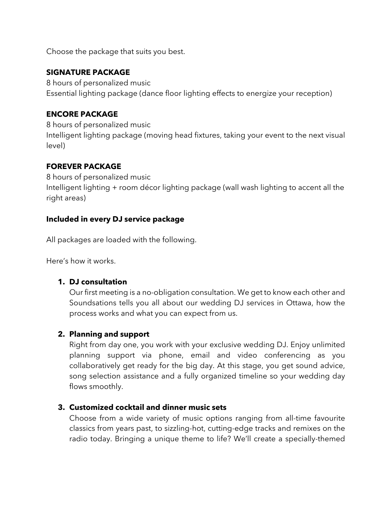Choose the package that suits you best.

# **SIGNATURE PACKAGE**

8 hours of personalized music Essential lighting package (dance floor lighting effects to energize your reception)

# **ENCORE PACKAGE**

8 hours of personalized music Intelligent lighting package (moving head fixtures, taking your event to the next visual level)

# **FOREVER PACKAGE**

8 hours of personalized music Intelligent lighting + room décor lighting package (wall wash lighting to accent all the right areas)

# **Included in every DJ service package**

All packages are loaded with the following.

Here's how it works.

# **1. DJ consultation**

Our first meeting is a no-obligation consultation. We get to know each other and Soundsations tells you all about our wedding DJ services in Ottawa, how the process works and what you can expect from us.

# **2. Planning and support**

Right from day one, you work with your exclusive wedding DJ. Enjoy unlimited planning support via phone, email and video conferencing as you collaboratively get ready for the big day. At this stage, you get sound advice, song selection assistance and a fully organized timeline so your wedding day flows smoothly.

# **3. Customized cocktail and dinner music sets**

Choose from a wide variety of music options ranging from all-time favourite classics from years past, to sizzling-hot, cutting-edge tracks and remixes on the radio today. Bringing a unique theme to life? We'll create a specially-themed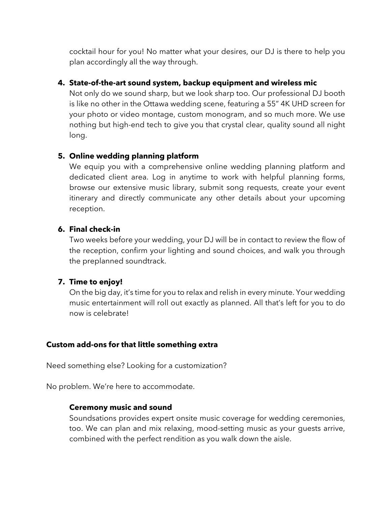cocktail hour for you! No matter what your desires, our DJ is there to help you plan accordingly all the way through.

## **4. State-of-the-art sound system, backup equipment and wireless mic**

Not only do we sound sharp, but we look sharp too. Our professional DJ booth is like no other in the Ottawa wedding scene, featuring a 55" 4K UHD screen for your photo or video montage, custom monogram, and so much more. We use nothing but high-end tech to give you that crystal clear, quality sound all night long.

## **5. Online wedding planning platform**

We equip you with a comprehensive online wedding planning platform and dedicated client area. Log in anytime to work with helpful planning forms, browse our extensive music library, submit song requests, create your event itinerary and directly communicate any other details about your upcoming reception.

## **6. Final check-in**

Two weeks before your wedding, your DJ will be in contact to review the flow of the reception, confirm your lighting and sound choices, and walk you through the preplanned soundtrack.

#### **7. Time to enjoy!**

On the big day, it's time for you to relax and relish in every minute. Your wedding music entertainment will roll out exactly as planned. All that's left for you to do now is celebrate!

#### **Custom add-ons for that little something extra**

Need something else? Looking for a customization?

No problem. We're here to accommodate.

# **Ceremony music and sound**

Soundsations provides expert onsite music coverage for wedding ceremonies, too. We can plan and mix relaxing, mood-setting music as your guests arrive, combined with the perfect rendition as you walk down the aisle.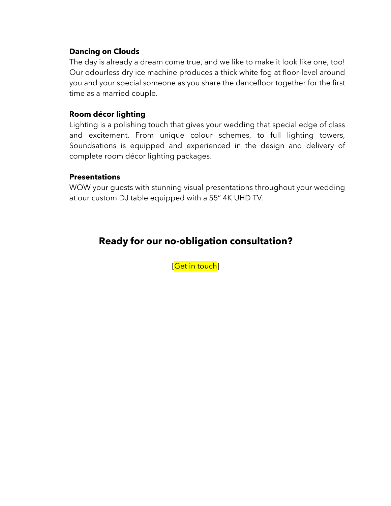## **Dancing on Clouds**

The day is already a dream come true, and we like to make it look like one, too! Our odourless dry ice machine produces a thick white fog at floor-level around you and your special someone as you share the dancefloor together for the first time as a married couple.

## **Room décor lighting**

Lighting is a polishing touch that gives your wedding that special edge of class and excitement. From unique colour schemes, to full lighting towers, Soundsations is equipped and experienced in the design and delivery of complete room décor lighting packages.

#### **Presentations**

WOW your guests with stunning visual presentations throughout your wedding at our custom DJ table equipped with a 55" 4K UHD TV.

# **Ready for our no-obligation consultation?**

[Get in touch]